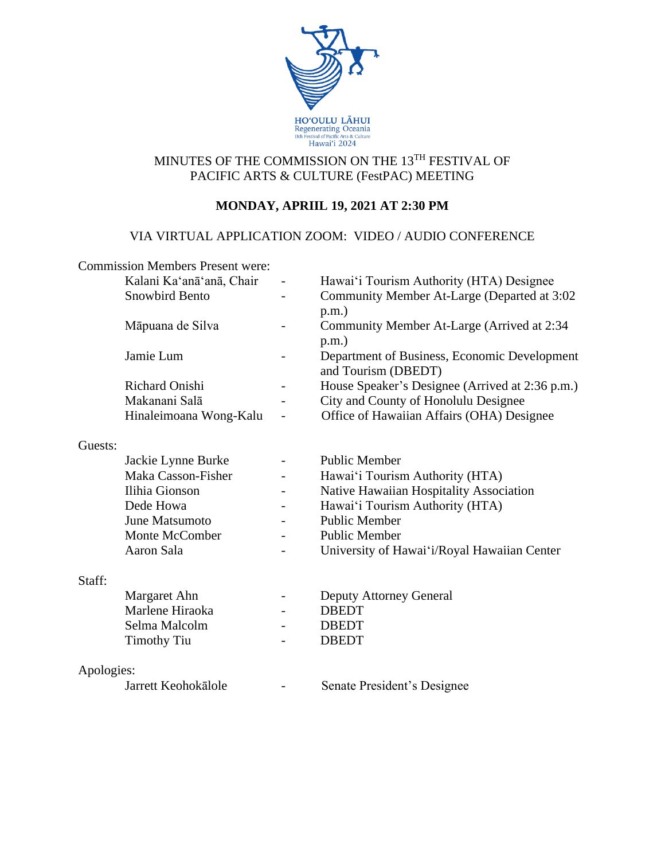

## MINUTES OF THE COMMISSION ON THE 13TH FESTIVAL OF PACIFIC ARTS & CULTURE (FestPAC) MEETING

# **MONDAY, APRIIL 19, 2021 AT 2:30 PM**

## VIA VIRTUAL APPLICATION ZOOM: VIDEO / AUDIO CONFERENCE

|            | <b>Commission Members Present were:</b> |                          |                                                 |
|------------|-----------------------------------------|--------------------------|-------------------------------------------------|
|            | Kalani Ka'anā'anā, Chair                |                          | Hawai'i Tourism Authority (HTA) Designee        |
|            | Snowbird Bento                          |                          | Community Member At-Large (Departed at 3:02     |
|            |                                         |                          | $p.m.$ )                                        |
|            | Māpuana de Silva                        |                          | Community Member At-Large (Arrived at 2:34      |
|            |                                         |                          | $p.m.$ )                                        |
|            | Jamie Lum                               |                          | Department of Business, Economic Development    |
|            |                                         |                          | and Tourism (DBEDT)                             |
|            | <b>Richard Onishi</b>                   |                          | House Speaker's Designee (Arrived at 2:36 p.m.) |
|            | Makanani Salā                           |                          | City and County of Honolulu Designee            |
|            | Hinaleimoana Wong-Kalu                  |                          | Office of Hawaiian Affairs (OHA) Designee       |
|            |                                         |                          |                                                 |
| Guests:    |                                         |                          |                                                 |
|            | Jackie Lynne Burke                      |                          | <b>Public Member</b>                            |
|            | Maka Casson-Fisher                      |                          | Hawai'i Tourism Authority (HTA)                 |
|            | Ilihia Gionson                          |                          | Native Hawaiian Hospitality Association         |
|            | Dede Howa                               |                          | Hawai'i Tourism Authority (HTA)                 |
|            | June Matsumoto                          |                          | <b>Public Member</b>                            |
|            | Monte McComber                          |                          | <b>Public Member</b>                            |
|            | Aaron Sala                              |                          | University of Hawai'i/Royal Hawaiian Center     |
|            |                                         |                          |                                                 |
| Staff:     |                                         |                          |                                                 |
|            | Margaret Ahn                            | $\overline{\phantom{a}}$ | Deputy Attorney General                         |
|            | Marlene Hiraoka                         |                          | <b>DBEDT</b>                                    |
|            | Selma Malcolm                           |                          | <b>DBEDT</b>                                    |
|            | <b>Timothy Tiu</b>                      |                          | <b>DBEDT</b>                                    |
|            |                                         |                          |                                                 |
| Apologies: |                                         |                          |                                                 |
|            | Jarrett Keohokālole                     |                          | Senate President's Designee                     |
|            |                                         |                          |                                                 |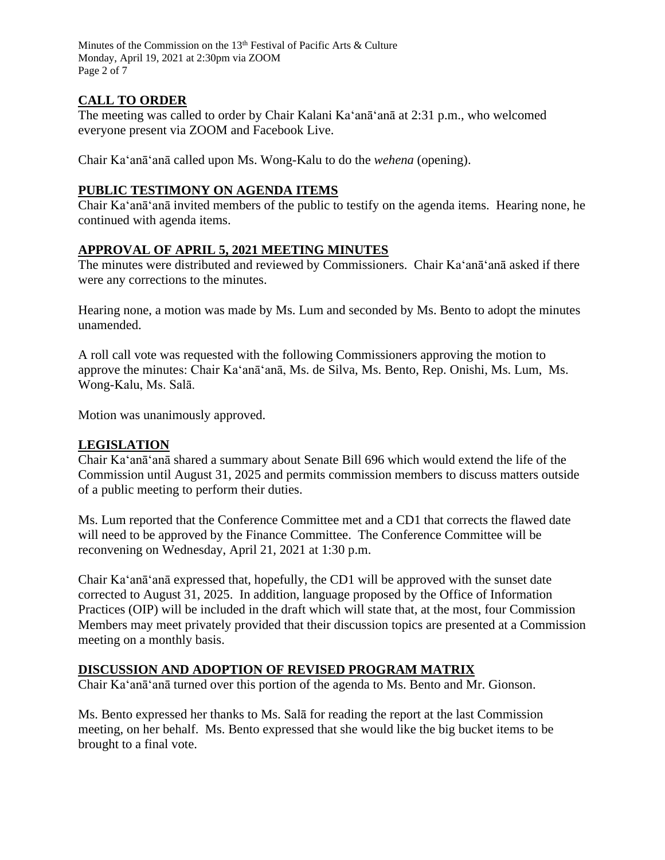Minutes of the Commission on the 13<sup>th</sup> Festival of Pacific Arts & Culture Monday, April 19, 2021 at 2:30pm via ZOOM Page 2 of 7

### **CALL TO ORDER**

The meeting was called to order by Chair Kalani Ka'anā'anā at 2:31 p.m., who welcomed everyone present via ZOOM and Facebook Live.

Chair Ka'anā'anā called upon Ms. Wong-Kalu to do the *wehena* (opening).

#### **PUBLIC TESTIMONY ON AGENDA ITEMS**

Chair Ka'anā'anā invited members of the public to testify on the agenda items. Hearing none, he continued with agenda items.

### **APPROVAL OF APRIL 5, 2021 MEETING MINUTES**

The minutes were distributed and reviewed by Commissioners. Chair Ka'anā'anā asked if there were any corrections to the minutes.

Hearing none, a motion was made by Ms. Lum and seconded by Ms. Bento to adopt the minutes unamended.

A roll call vote was requested with the following Commissioners approving the motion to approve the minutes: Chair Ka'anā'anā, Ms. de Silva, Ms. Bento, Rep. Onishi, Ms. Lum, Ms. Wong-Kalu, Ms. Salā.

Motion was unanimously approved.

### **LEGISLATION**

Chair Ka'anā'anā shared a summary about Senate Bill 696 which would extend the life of the Commission until August 31, 2025 and permits commission members to discuss matters outside of a public meeting to perform their duties.

Ms. Lum reported that the Conference Committee met and a CD1 that corrects the flawed date will need to be approved by the Finance Committee. The Conference Committee will be reconvening on Wednesday, April 21, 2021 at 1:30 p.m.

Chair Ka'anā'anā expressed that, hopefully, the CD1 will be approved with the sunset date corrected to August 31, 2025. In addition, language proposed by the Office of Information Practices (OIP) will be included in the draft which will state that, at the most, four Commission Members may meet privately provided that their discussion topics are presented at a Commission meeting on a monthly basis.

### **DISCUSSION AND ADOPTION OF REVISED PROGRAM MATRIX**

Chair Ka'anā'anā turned over this portion of the agenda to Ms. Bento and Mr. Gionson.

Ms. Bento expressed her thanks to Ms. Salā for reading the report at the last Commission meeting, on her behalf. Ms. Bento expressed that she would like the big bucket items to be brought to a final vote.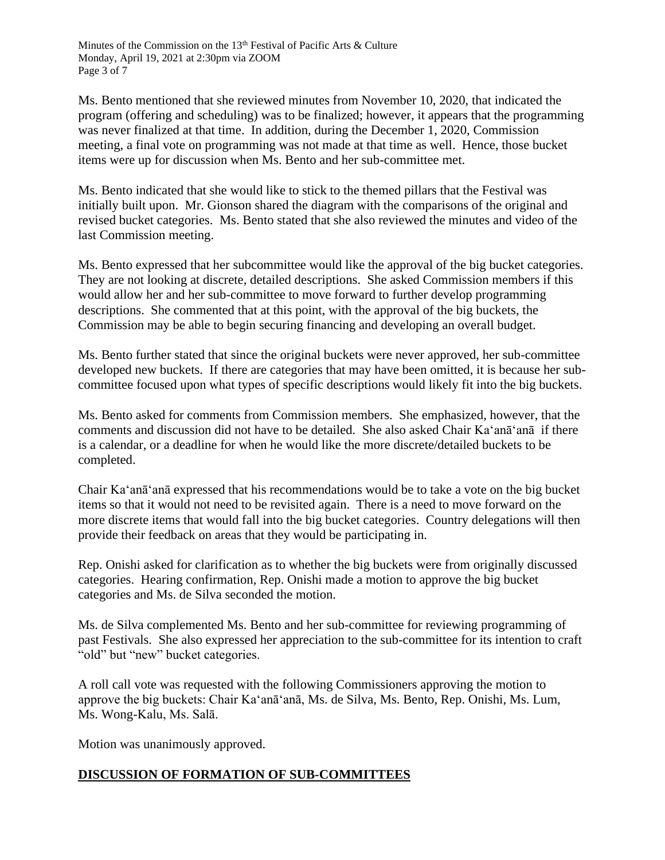Ms. Bento mentioned that she reviewed minutes from November 10, 2020, that indicated the program (offering and scheduling) was to be finalized; however, it appears that the programming was never finalized at that time. In addition, during the December 1, 2020, Commission meeting, a final vote on programming was not made at that time as well. Hence, those bucket items were up for discussion when Ms. Bento and her sub-committee met.

Ms. Bento indicated that she would like to stick to the themed pillars that the Festival was initially built upon. Mr. Gionson shared the diagram with the comparisons of the original and revised bucket categories. Ms. Bento stated that she also reviewed the minutes and video of the last Commission meeting.

Ms. Bento expressed that her subcommittee would like the approval of the big bucket categories. They are not looking at discrete, detailed descriptions. She asked Commission members if this would allow her and her sub-committee to move forward to further develop programming descriptions. She commented that at this point, with the approval of the big buckets, the Commission may be able to begin securing financing and developing an overall budget.

Ms. Bento further stated that since the original buckets were never approved, her sub-committee developed new buckets. If there are categories that may have been omitted, it is because her subcommittee focused upon what types of specific descriptions would likely fit into the big buckets.

Ms. Bento asked for comments from Commission members. She emphasized, however, that the comments and discussion did not have to be detailed. She also asked Chair Ka'anā'anā if there is a calendar, or a deadline for when he would like the more discrete/detailed buckets to be completed.

Chair Ka'anā'anā expressed that his recommendations would be to take a vote on the big bucket items so that it would not need to be revisited again. There is a need to move forward on the more discrete items that would fall into the big bucket categories. Country delegations will then provide their feedback on areas that they would be participating in.

Rep. Onishi asked for clarification as to whether the big buckets were from originally discussed categories. Hearing confirmation, Rep. Onishi made a motion to approve the big bucket categories and Ms. de Silva seconded the motion.

Ms. de Silva complemented Ms. Bento and her sub-committee for reviewing programming of past Festivals. She also expressed her appreciation to the sub-committee for its intention to craft "old" but "new" bucket categories.

A roll call vote was requested with the following Commissioners approving the motion to approve the big buckets: Chair Ka'anā'anā, Ms. de Silva, Ms. Bento, Rep. Onishi, Ms. Lum, Ms. Wong-Kalu, Ms. Salā.

Motion was unanimously approved.

## **DISCUSSION OF FORMATION OF SUB-COMMITTEES**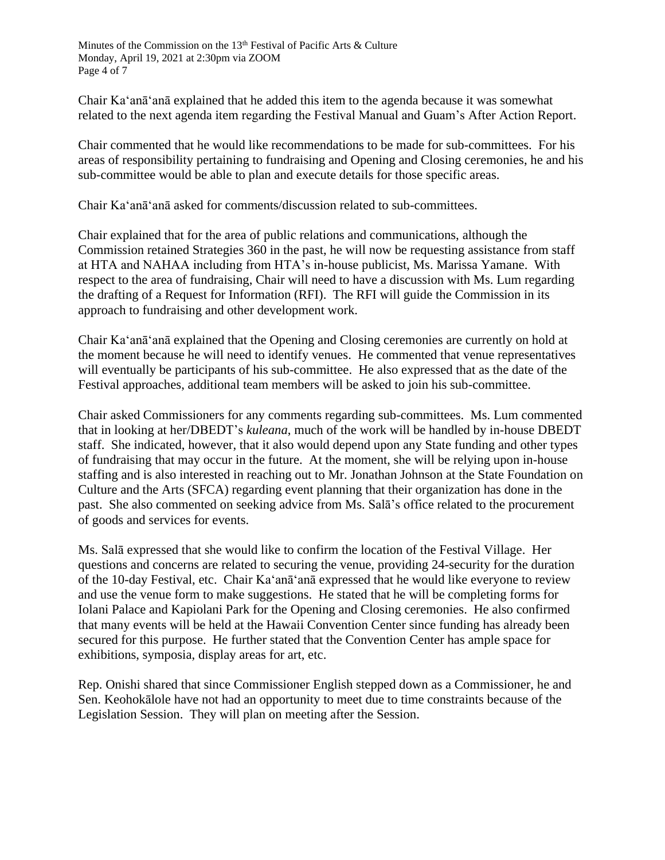Chair Ka'anā'anā explained that he added this item to the agenda because it was somewhat related to the next agenda item regarding the Festival Manual and Guam's After Action Report.

Chair commented that he would like recommendations to be made for sub-committees. For his areas of responsibility pertaining to fundraising and Opening and Closing ceremonies, he and his sub-committee would be able to plan and execute details for those specific areas.

Chair Ka'anā'anā asked for comments/discussion related to sub-committees.

Chair explained that for the area of public relations and communications, although the Commission retained Strategies 360 in the past, he will now be requesting assistance from staff at HTA and NAHAA including from HTA's in-house publicist, Ms. Marissa Yamane. With respect to the area of fundraising, Chair will need to have a discussion with Ms. Lum regarding the drafting of a Request for Information (RFI). The RFI will guide the Commission in its approach to fundraising and other development work.

Chair Ka'anā'anā explained that the Opening and Closing ceremonies are currently on hold at the moment because he will need to identify venues. He commented that venue representatives will eventually be participants of his sub-committee. He also expressed that as the date of the Festival approaches, additional team members will be asked to join his sub-committee.

Chair asked Commissioners for any comments regarding sub-committees. Ms. Lum commented that in looking at her/DBEDT's *kuleana*, much of the work will be handled by in-house DBEDT staff. She indicated, however, that it also would depend upon any State funding and other types of fundraising that may occur in the future. At the moment, she will be relying upon in-house staffing and is also interested in reaching out to Mr. Jonathan Johnson at the State Foundation on Culture and the Arts (SFCA) regarding event planning that their organization has done in the past. She also commented on seeking advice from Ms. Salā's office related to the procurement of goods and services for events.

Ms. Salā expressed that she would like to confirm the location of the Festival Village. Her questions and concerns are related to securing the venue, providing 24-security for the duration of the 10-day Festival, etc. Chair Ka'anā'anā expressed that he would like everyone to review and use the venue form to make suggestions. He stated that he will be completing forms for Iolani Palace and Kapiolani Park for the Opening and Closing ceremonies. He also confirmed that many events will be held at the Hawaii Convention Center since funding has already been secured for this purpose. He further stated that the Convention Center has ample space for exhibitions, symposia, display areas for art, etc.

Rep. Onishi shared that since Commissioner English stepped down as a Commissioner, he and Sen. Keohokālole have not had an opportunity to meet due to time constraints because of the Legislation Session. They will plan on meeting after the Session.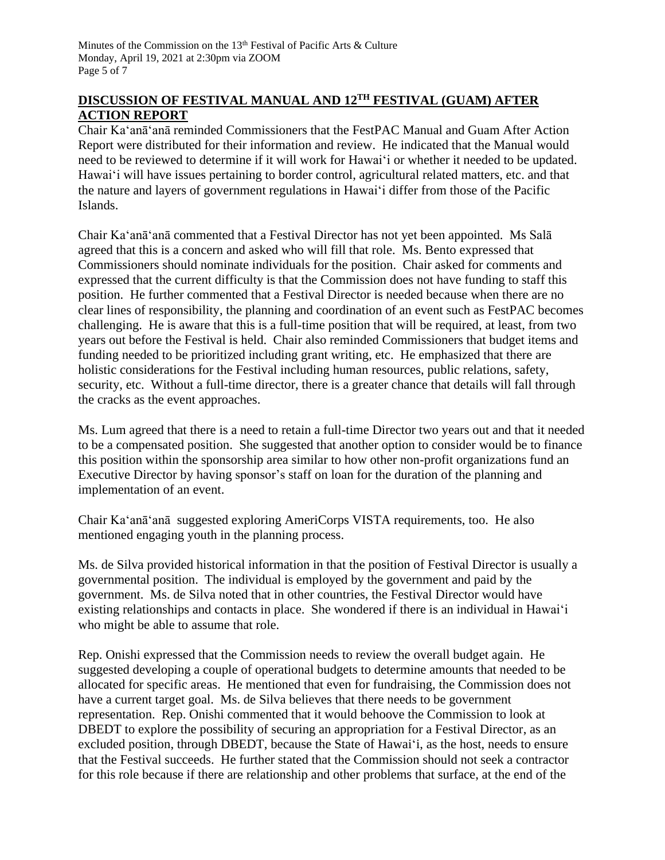### **DISCUSSION OF FESTIVAL MANUAL AND 12TH FESTIVAL (GUAM) AFTER ACTION REPORT**

Chair Ka'anā'anā reminded Commissioners that the FestPAC Manual and Guam After Action Report were distributed for their information and review. He indicated that the Manual would need to be reviewed to determine if it will work for Hawaiʻi or whether it needed to be updated. Hawaiʻi will have issues pertaining to border control, agricultural related matters, etc. and that the nature and layers of government regulations in Hawaiʻi differ from those of the Pacific Islands.

Chair Ka'anā'anā commented that a Festival Director has not yet been appointed. Ms Salā agreed that this is a concern and asked who will fill that role. Ms. Bento expressed that Commissioners should nominate individuals for the position. Chair asked for comments and expressed that the current difficulty is that the Commission does not have funding to staff this position. He further commented that a Festival Director is needed because when there are no clear lines of responsibility, the planning and coordination of an event such as FestPAC becomes challenging. He is aware that this is a full-time position that will be required, at least, from two years out before the Festival is held. Chair also reminded Commissioners that budget items and funding needed to be prioritized including grant writing, etc. He emphasized that there are holistic considerations for the Festival including human resources, public relations, safety, security, etc. Without a full-time director, there is a greater chance that details will fall through the cracks as the event approaches.

Ms. Lum agreed that there is a need to retain a full-time Director two years out and that it needed to be a compensated position. She suggested that another option to consider would be to finance this position within the sponsorship area similar to how other non-profit organizations fund an Executive Director by having sponsor's staff on loan for the duration of the planning and implementation of an event.

Chair Ka'anā'anā suggested exploring AmeriCorps VISTA requirements, too. He also mentioned engaging youth in the planning process.

Ms. de Silva provided historical information in that the position of Festival Director is usually a governmental position. The individual is employed by the government and paid by the government. Ms. de Silva noted that in other countries, the Festival Director would have existing relationships and contacts in place. She wondered if there is an individual in Hawaiʻi who might be able to assume that role.

Rep. Onishi expressed that the Commission needs to review the overall budget again. He suggested developing a couple of operational budgets to determine amounts that needed to be allocated for specific areas. He mentioned that even for fundraising, the Commission does not have a current target goal. Ms. de Silva believes that there needs to be government representation. Rep. Onishi commented that it would behoove the Commission to look at DBEDT to explore the possibility of securing an appropriation for a Festival Director, as an excluded position, through DBEDT, because the State of Hawaiʻi, as the host, needs to ensure that the Festival succeeds. He further stated that the Commission should not seek a contractor for this role because if there are relationship and other problems that surface, at the end of the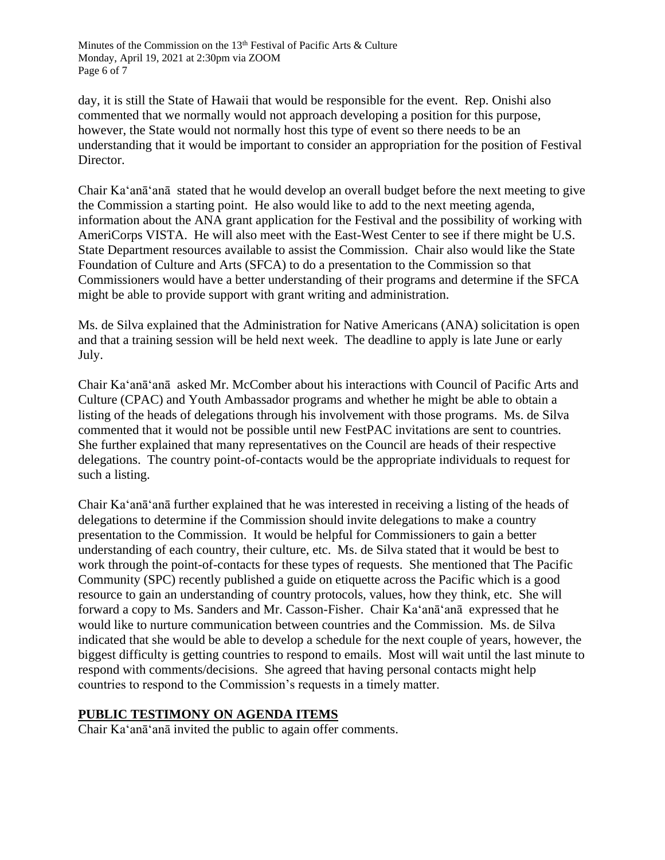day, it is still the State of Hawaii that would be responsible for the event. Rep. Onishi also commented that we normally would not approach developing a position for this purpose, however, the State would not normally host this type of event so there needs to be an understanding that it would be important to consider an appropriation for the position of Festival Director.

Chair Ka'anā'anā stated that he would develop an overall budget before the next meeting to give the Commission a starting point. He also would like to add to the next meeting agenda, information about the ANA grant application for the Festival and the possibility of working with AmeriCorps VISTA. He will also meet with the East-West Center to see if there might be U.S. State Department resources available to assist the Commission. Chair also would like the State Foundation of Culture and Arts (SFCA) to do a presentation to the Commission so that Commissioners would have a better understanding of their programs and determine if the SFCA might be able to provide support with grant writing and administration.

Ms. de Silva explained that the Administration for Native Americans (ANA) solicitation is open and that a training session will be held next week. The deadline to apply is late June or early July.

Chair Ka'anā'anā asked Mr. McComber about his interactions with Council of Pacific Arts and Culture (CPAC) and Youth Ambassador programs and whether he might be able to obtain a listing of the heads of delegations through his involvement with those programs. Ms. de Silva commented that it would not be possible until new FestPAC invitations are sent to countries. She further explained that many representatives on the Council are heads of their respective delegations. The country point-of-contacts would be the appropriate individuals to request for such a listing.

Chair Ka'anā'anā further explained that he was interested in receiving a listing of the heads of delegations to determine if the Commission should invite delegations to make a country presentation to the Commission. It would be helpful for Commissioners to gain a better understanding of each country, their culture, etc. Ms. de Silva stated that it would be best to work through the point-of-contacts for these types of requests. She mentioned that The Pacific Community (SPC) recently published a guide on etiquette across the Pacific which is a good resource to gain an understanding of country protocols, values, how they think, etc. She will forward a copy to Ms. Sanders and Mr. Casson-Fisher. Chair Ka'anā'anā expressed that he would like to nurture communication between countries and the Commission. Ms. de Silva indicated that she would be able to develop a schedule for the next couple of years, however, the biggest difficulty is getting countries to respond to emails. Most will wait until the last minute to respond with comments/decisions. She agreed that having personal contacts might help countries to respond to the Commission's requests in a timely matter.

### **PUBLIC TESTIMONY ON AGENDA ITEMS**

Chair Ka'anā'anā invited the public to again offer comments.